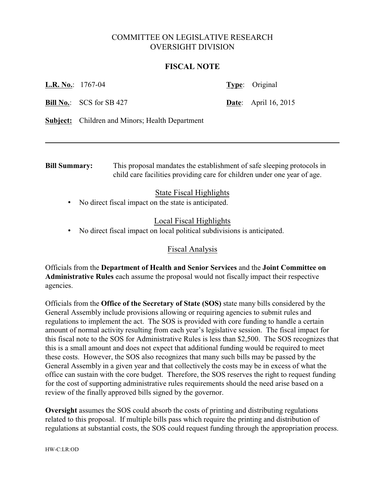# COMMITTEE ON LEGISLATIVE RESEARCH OVERSIGHT DIVISION

#### **FISCAL NOTE**

**L.R. No.**: 1767-04 **Type**: Original

**Bill No.:** SCS for SB 427 **Date**: April 16, 2015

**Subject:** Children and Minors; Health Department

**Bill Summary:** This proposal mandates the establishment of safe sleeping protocols in child care facilities providing care for children under one year of age.

### State Fiscal Highlights

• No direct fiscal impact on the state is anticipated.

# Local Fiscal Highlights

• No direct fiscal impact on local political subdivisions is anticipated.

### Fiscal Analysis

Officials from the **Department of Health and Senior Services** and the **Joint Committee on Administrative Rules** each assume the proposal would not fiscally impact their respective agencies.

Officials from the **Office of the Secretary of State (SOS)** state many bills considered by the General Assembly include provisions allowing or requiring agencies to submit rules and regulations to implement the act. The SOS is provided with core funding to handle a certain amount of normal activity resulting from each year's legislative session. The fiscal impact for this fiscal note to the SOS for Administrative Rules is less than \$2,500. The SOS recognizes that this is a small amount and does not expect that additional funding would be required to meet these costs. However, the SOS also recognizes that many such bills may be passed by the General Assembly in a given year and that collectively the costs may be in excess of what the office can sustain with the core budget. Therefore, the SOS reserves the right to request funding for the cost of supporting administrative rules requirements should the need arise based on a review of the finally approved bills signed by the governor.

**Oversight** assumes the SOS could absorb the costs of printing and distributing regulations related to this proposal. If multiple bills pass which require the printing and distribution of regulations at substantial costs, the SOS could request funding through the appropriation process.